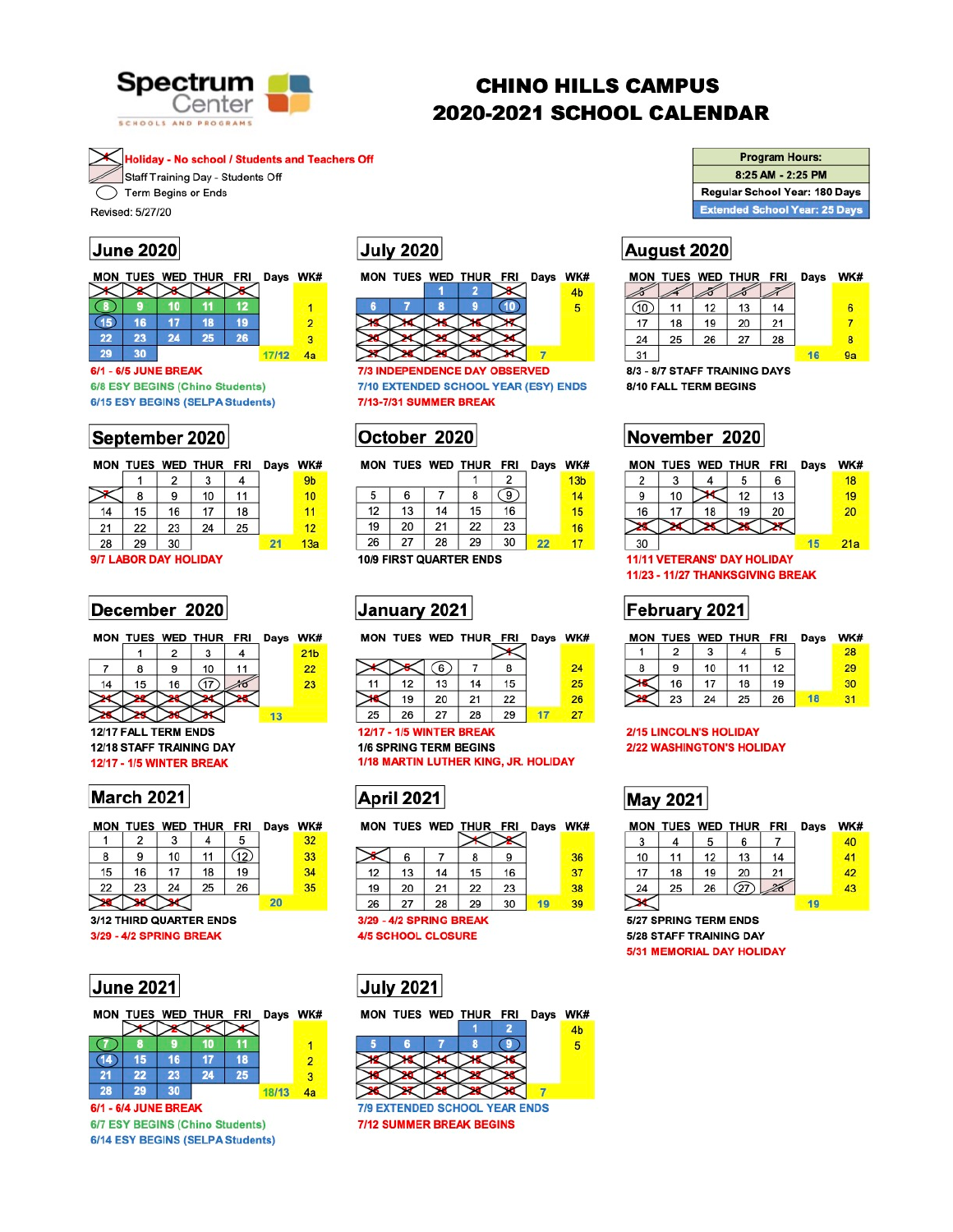

# **CHINO HILLS CAMPUS** 2020-2021 SCHOOL CALENDAR

**Holiday - No school / Students and Teachers Off** Staff Training Day - Students Off

Term Begins or Ends

Revised: 5/27/20

## **June 2020**

|    |    |    | MON TUES WED THUR FRI |    | Days WK# |  |
|----|----|----|-----------------------|----|----------|--|
|    |    |    |                       |    |          |  |
|    |    |    |                       |    |          |  |
| 15 | 16 |    | 18                    | 19 |          |  |
| 22 | 23 | 24 | 25                    | 26 |          |  |
| 29 | 30 |    |                       |    | 17/12    |  |

6/1 - 6/5 JUNE BREAK 6/8 ESY BEGINS (Chino Students) 6/15 ESY BEGINS (SELPA Students)

### September 2020

|    |    |    | MON TUES WED THUR FRI |    | Days | <b>WK</b>       |
|----|----|----|-----------------------|----|------|-----------------|
|    |    | 2  |                       |    |      | 9 <sub>b</sub>  |
|    | 8  | 9  | 10                    | 11 |      | 10              |
| 14 | 15 | 16 | 17                    | 18 |      | 11              |
| 21 | 22 | 23 | 24                    | 25 |      | 12              |
| 28 | 29 | 30 |                       |    | 21   | 13 <sub>i</sub> |

### 9/7 LABOR DAY HOLIDAY

### December 2020

|    |    |    | MON TUES WED THUR FRI Days WK# |  |                 |
|----|----|----|--------------------------------|--|-----------------|
|    |    |    |                                |  | 21 <sub>b</sub> |
|    |    |    | 10                             |  | 22              |
| 14 | 15 | 16 |                                |  | 23              |
|    |    |    |                                |  |                 |

**July 2020** 



**7/3 INDEPENDENCE DAY OBSERVED** 7/10 EXTENDED SCHOOL YEAR (ESY) ENDS 7/13-7/31 SUMMER BREAK

## October 2020

|    |    |    | MON TUES WED THUR FRI |    | Days | WK#             |
|----|----|----|-----------------------|----|------|-----------------|
|    |    |    |                       | 2  |      | 13 <sub>b</sub> |
| 5  | 6  |    | 8                     | 9  |      | 14              |
| 12 | 13 | 14 | 15                    | 16 |      | 15              |
| 19 | 20 | 21 | 22                    | 23 |      | 16              |
| 26 | 27 | 28 | 29                    | 30 | 22   | 17              |
|    |    |    |                       |    |      |                 |

**10/9 FIRST QUARTER ENDS** 

## January 2021

|    |    |     | MON TUES WED THUR FRI |    | Days | WK# |
|----|----|-----|-----------------------|----|------|-----|
|    |    | (6) |                       |    |      | 24  |
| 11 | 12 | 13  | 14                    | 15 |      | 25  |
|    | 19 | 20  | 21                    | 22 |      | 26  |
| 25 | 26 | 27  | 28                    | 29 |      | 27  |

| <b>Program Hours:</b>                |
|--------------------------------------|
| 8:25 AM - 2:25 PM                    |
| <b>Regular School Year: 180 Days</b> |
| <b>Extended School Year: 25 Days</b> |

# August 2020

|    |    |    | MON TUES WED THUR FRI |    | Days | WK# |
|----|----|----|-----------------------|----|------|-----|
|    |    |    |                       |    |      |     |
|    | 11 | 12 | 13                    | 14 |      | 6   |
| 17 | 18 | 19 | 20                    | 21 |      |     |
| 24 | 25 | 26 | 27                    | 28 |      | 8   |
| 31 |    |    |                       |    |      | 9a  |

8/3 - 8/7 STAFF TRAINING DAYS 8/10 FALL TERM BEGINS

November 2020



**11/11 VETERANS' DAY HOLIDAY** 11/23 - 11/27 THANKSGIVING BREAK

# February 2021

|   |    |              | MON TUES WED THUR FRI |    | Days | WK# |
|---|----|--------------|-----------------------|----|------|-----|
|   |    |              |                       |    |      | 28  |
| 8 | 9  | 10           | 11                    | 12 |      | 29  |
|   | 16 | 17           | 18                    | 19 |      | 30  |
|   | מח | $\mathbf{A}$ | ົ                     | oc |      | 94  |



**12/17 - 1/5 WINTER BREAK** 

### March 2021

|    |    |    | MON TUES WED THUR FRI   |      | Days | <b>WK</b> |
|----|----|----|-------------------------|------|------|-----------|
|    | 2  | 3  |                         | 5    |      | 32        |
| 8  | 9  | 10 | 11                      | (12) |      | 33        |
| 15 | 16 | 17 | 18                      | 19   |      | 34        |
| 22 | 23 | 24 | 25                      | 26   |      | 35        |
|    |    |    |                         |      | 20   |           |
|    |    |    | 3/12 THIRD QUARTER ENDS |      |      |           |

3/29 - 4/2 SPRING BREAK

| ∣June 2021 |  |
|------------|--|
|------------|--|

|                      |    |    | MON TUES WED THUR FRI |    | Days WK# |                |  |  |
|----------------------|----|----|-----------------------|----|----------|----------------|--|--|
|                      |    |    |                       |    |          |                |  |  |
|                      |    |    |                       |    |          |                |  |  |
|                      | 15 | 16 |                       | 18 |          | $\overline{2}$ |  |  |
| 21                   | 22 | 23 | 24                    | 25 |          | з              |  |  |
| 28                   | 29 | 30 |                       |    | 18/13    | 4a             |  |  |
| 6/1 - 6/4 JUNE BREAK |    |    |                       |    |          |                |  |  |

6/7 ESY BEGINS (Chino Students) 6/14 ESY BEGINS (SELPA Students)

### **12/17 - 1/5 WINTER BREAK 1/6 SPRING TERM BEGINS** 1/18 MARTIN LUTHER KING, JR. HOLIDAY





3/29 - 4/2 SPRING BREAK

**4/5 SCHOOL CLOSURE** 



### **2/15 LINCOLN'S HOLIDAY 2/22 WASHINGTON'S HOLIDAY**

## **May 2021**

| MON |                       |    | TUES WED THUR FRI |    | Days | WK# |
|-----|-----------------------|----|-------------------|----|------|-----|
| 3   |                       | 5  | 6                 |    |      | 40  |
| 10  | 11                    | 12 | 13                | 14 |      | 41  |
| 17  | 18                    | 19 | 20                | 21 |      | 42  |
| 24  | 25                    | 26 | 27)               |    |      | 43  |
|     |                       |    |                   |    | 19   |     |
|     | 5/27 SPRING TERM ENDS |    |                   |    |      |     |

5/28 STAFF TRAINING DAY 5/31 MEMORIAL DAY HOLIDAY



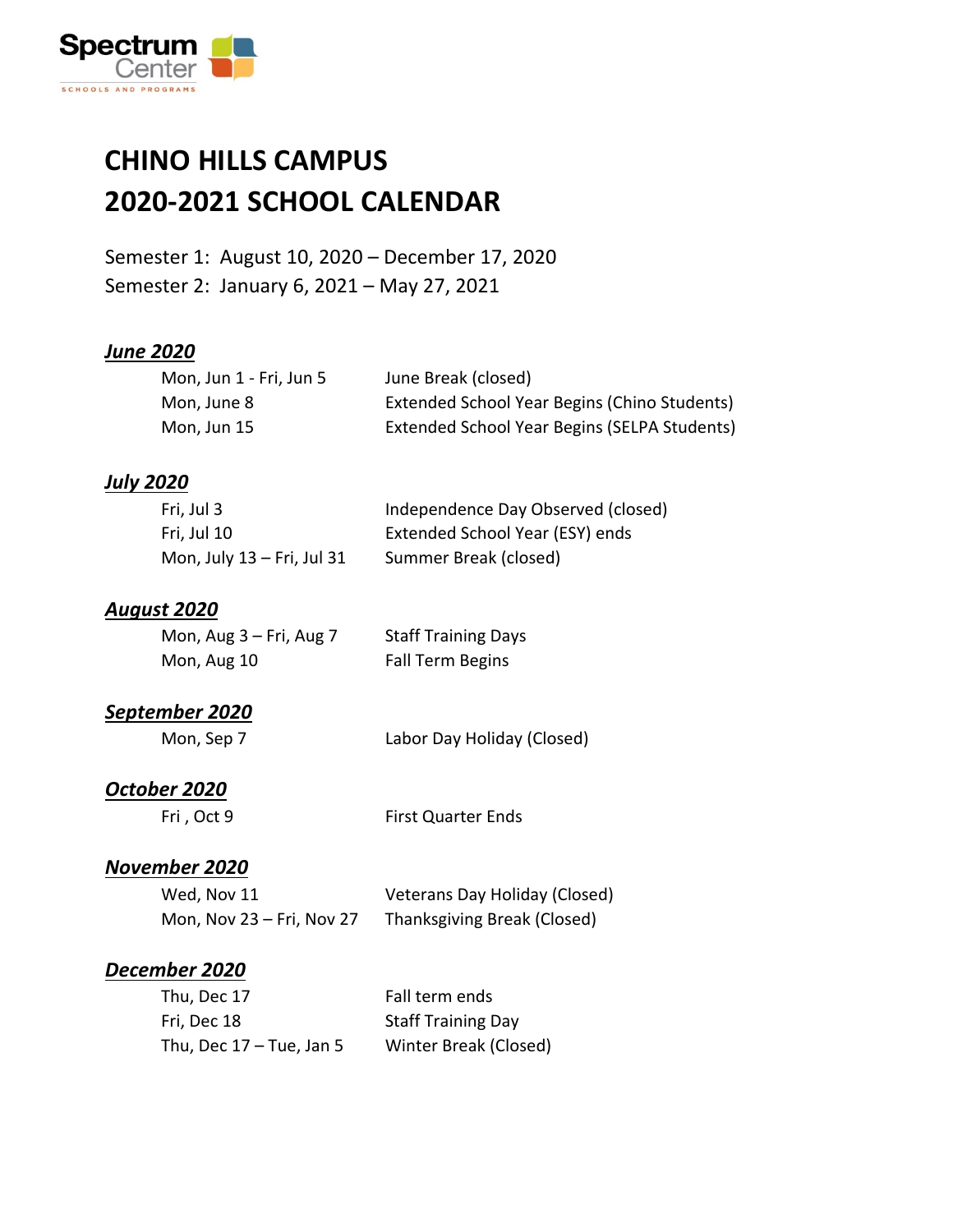

### **CHINO HILLS CAMPUS 2020-2021 SCHOOL CALENDAR**

Semester 1: August 10, 2020 – December 17, 2020 Semester 2: January 6, 2021 – May 27, 2021

#### *June 2020*

| Mon, Jun 1 - Fri, Jun 5 | June Break (closed)                          |
|-------------------------|----------------------------------------------|
| Mon. June 8             | Extended School Year Begins (Chino Students) |
| Mon, Jun 15             | Extended School Year Begins (SELPA Students) |

#### *July 2020*

| Fri, Jul 3                 | Independence Day Observed (closed) |
|----------------------------|------------------------------------|
| Fri, Jul 10                | Extended School Year (ESY) ends    |
| Mon, July 13 – Fri, Jul 31 | Summer Break (closed)              |

#### *August 2020*

| Mon, Aug $3$ – Fri, Aug 7 | <b>Staff Training Days</b> |
|---------------------------|----------------------------|
| Mon, Aug 10               | Fall Term Begins           |

#### *September 2020*

#### *October 2020*

Fri, Oct 9 First Quarter Ends

#### *November 2020*

| Wed, Nov 11               | Veterans Day Holiday (Closed) |
|---------------------------|-------------------------------|
| Mon, Nov 23 - Fri, Nov 27 | Thanksgiving Break (Closed)   |

#### *December 2020*

| Thu, Dec 17                | Fall term ends            |
|----------------------------|---------------------------|
| Fri, Dec 18                | <b>Staff Training Day</b> |
| Thu, Dec $17 -$ Tue, Jan 5 | Winter Break (Closed)     |